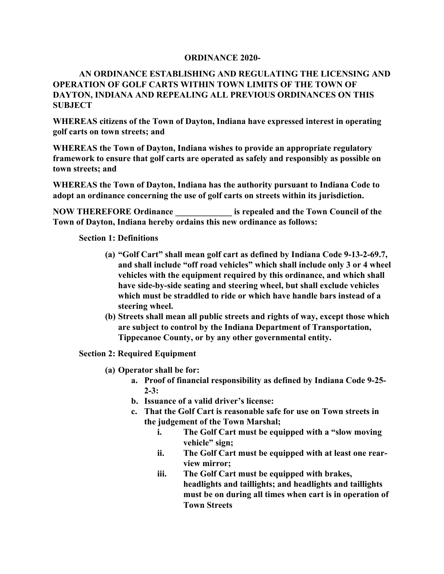## **ORDINANCE 2020-**

## **AN ORDINANCE ESTABLISHING AND REGULATING THE LICENSING AND OPERATION OF GOLF CARTS WITHIN TOWN LIMITS OF THE TOWN OF DAYTON, INDIANA AND REPEALING ALL PREVIOUS ORDINANCES ON THIS SUBJECT**

**WHEREAS citizens of the Town of Dayton, Indiana have expressed interest in operating golf carts on town streets; and**

**WHEREAS the Town of Dayton, Indiana wishes to provide an appropriate regulatory framework to ensure that golf carts are operated as safely and responsibly as possible on town streets; and** 

**WHEREAS the Town of Dayton, Indiana has the authority pursuant to Indiana Code to adopt an ordinance concerning the use of golf carts on streets within its jurisdiction.**

**NOW THEREFORE Ordinance \_\_\_\_\_\_\_\_\_\_\_\_\_ is repealed and the Town Council of the Town of Dayton, Indiana hereby ordains this new ordinance as follows:**

## **Section 1: Definitions**

- **(a) "Golf Cart" shall mean golf cart as defined by Indiana Code 9-13-2-69.7, and shall include "off road vehicles" which shall include only 3 or 4 wheel vehicles with the equipment required by this ordinance, and which shall have side-by-side seating and steering wheel, but shall exclude vehicles which must be straddled to ride or which have handle bars instead of a steering wheel.**
- **(b) Streets shall mean all public streets and rights of way, except those which are subject to control by the Indiana Department of Transportation, Tippecanoe County, or by any other governmental entity.**

## **Section 2: Required Equipment**

- **(a) Operator shall be for:**
	- **a. Proof of financial responsibility as defined by Indiana Code 9-25- 2-3:**
	- **b. Issuance of a valid driver's license:**
	- **c. That the Golf Cart is reasonable safe for use on Town streets in the judgement of the Town Marshal;**
		- **i. The Golf Cart must be equipped with a "slow moving vehicle" sign;**
		- **ii. The Golf Cart must be equipped with at least one rearview mirror;**
		- **iii. The Golf Cart must be equipped with brakes, headlights and taillights; and headlights and taillights must be on during all times when cart is in operation of Town Streets**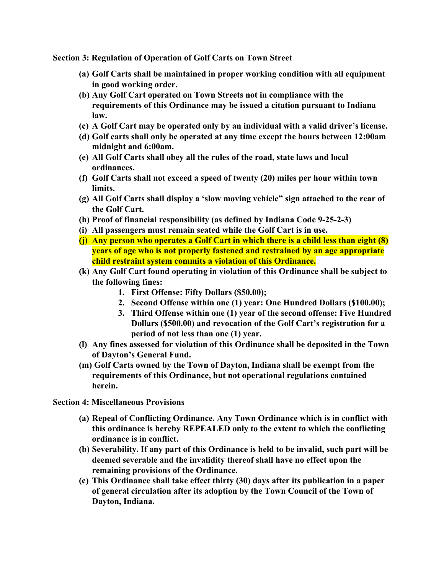**Section 3: Regulation of Operation of Golf Carts on Town Street**

- **(a) Golf Carts shall be maintained in proper working condition with all equipment in good working order.**
- **(b) Any Golf Cart operated on Town Streets not in compliance with the requirements of this Ordinance may be issued a citation pursuant to Indiana law.**
- **(c) A Golf Cart may be operated only by an individual with a valid driver's license.**
- **(d) Golf carts shall only be operated at any time except the hours between 12:00am midnight and 6:00am.**
- **(e) All Golf Carts shall obey all the rules of the road, state laws and local ordinances.**
- **(f) Golf Carts shall not exceed a speed of twenty (20) miles per hour within town limits.**
- **(g) All Golf Carts shall display a 'slow moving vehicle" sign attached to the rear of the Golf Cart.**
- **(h) Proof of financial responsibility (as defined by Indiana Code 9-25-2-3)**
- **(i) All passengers must remain seated while the Golf Cart is in use.**
- **(j) Any person who operates a Golf Cart in which there is a child less than eight (8) years of age who is not properly fastened and restrained by an age appropriate child restraint system commits a violation of this Ordinance.**
- **(k) Any Golf Cart found operating in violation of this Ordinance shall be subject to the following fines:**
	- **1. First Offense: Fifty Dollars (\$50.00);**
	- **2. Second Offense within one (1) year: One Hundred Dollars (\$100.00);**
	- **3. Third Offense within one (1) year of the second offense: Five Hundred Dollars (\$500.00) and revocation of the Golf Cart's registration for a period of not less than one (1) year.**
- **(l) Any fines assessed for violation of this Ordinance shall be deposited in the Town of Dayton's General Fund.**
- **(m) Golf Carts owned by the Town of Dayton, Indiana shall be exempt from the requirements of this Ordinance, but not operational regulations contained herein.**

**Section 4: Miscellaneous Provisions**

- **(a) Repeal of Conflicting Ordinance. Any Town Ordinance which is in conflict with this ordinance is hereby REPEALED only to the extent to which the conflicting ordinance is in conflict.**
- **(b) Severability. If any part of this Ordinance is held to be invalid, such part will be deemed severable and the invalidity thereof shall have no effect upon the remaining provisions of the Ordinance.**
- **(c) This Ordinance shall take effect thirty (30) days after its publication in a paper of general circulation after its adoption by the Town Council of the Town of Dayton, Indiana.**